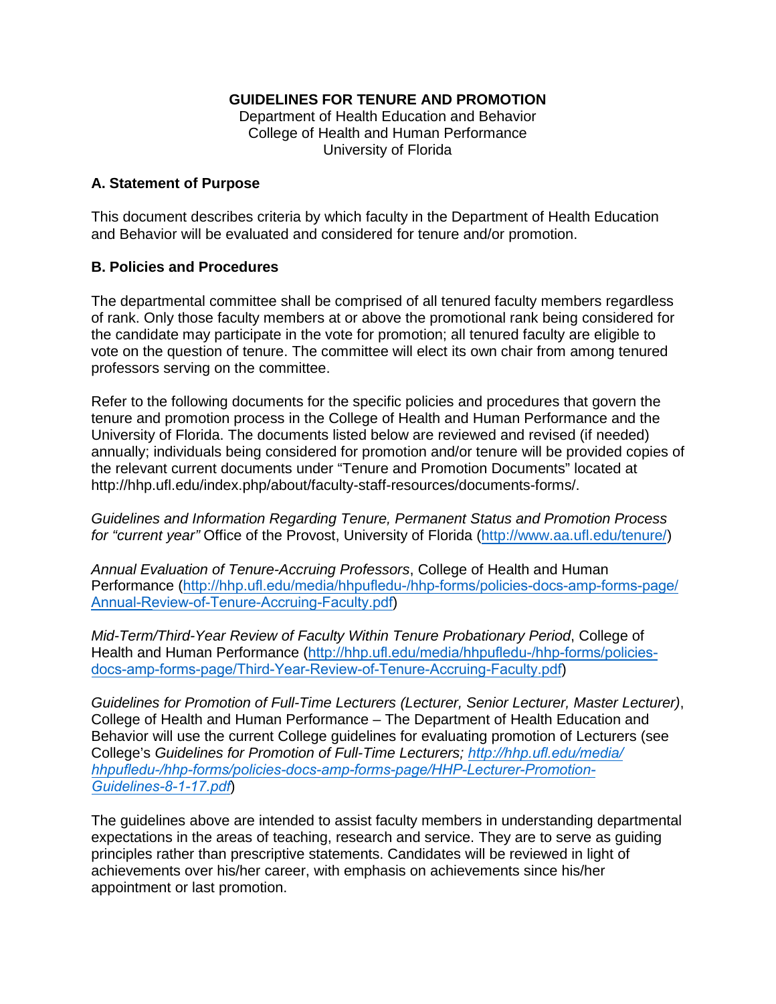# **GUIDELINES FOR TENURE AND PROMOTION**

Department of Health Education and Behavior College of Health and Human Performance University of Florida

### **A. Statement of Purpose**

This document describes criteria by which faculty in the Department of Health Education and Behavior will be evaluated and considered for tenure and/or promotion.

# **B. Policies and Procedures**

The departmental committee shall be comprised of all tenured faculty members regardless of rank. Only those faculty members at or above the promotional rank being considered for the candidate may participate in the vote for promotion; all tenured faculty are eligible to vote on the question of tenure. The committee will elect its own chair from among tenured professors serving on the committee.

Refer to the following documents for the specific policies and procedures that govern the tenure and promotion process in the College of Health and Human Performance and the University of Florida. The documents listed below are reviewed and revised (if needed) annually; individuals being considered for promotion and/or tenure will be provided copies of the relevant current documents under "Tenure and Promotion Documents" located at http://hhp.ufl.edu/index.php/about/faculty-staff-resources/documents-forms/.

*Guidelines and Information Regarding Tenure, Permanent Status and Promotion Process for "current year"* Office of the Provost, University of Florida [\(http://www.aa.ufl.edu/tenure/\)](http://www.aa.ufl.edu/tenure/)

*Annual Evaluation of Tenure-Accruing Professors*, College of Health and Human Performance ([http://hhp.ufl.edu/media/hhpufledu-/hhp-forms/policies-docs-amp-forms-page/](http://hhp.ufl.edu/wp-content/uploads/Annual-Eval-Untenured-Prof-update-5-12-15.pdf) [Annual-Re](http://hhp.ufl.edu/wp-content/uploads/Annual-Eval-Untenured-Prof-update-5-12-15.pdf)view-of-Tenure-Accruing-Faculty.pdf)

*Mid-Term/Third-Year Review of Faculty Within Tenure Probationary Period*, College of Health and Human Performance ([http://hhp.ufl.edu/media/hhpufledu-/hhp-forms/policies](http://hhp.ufl.edu/wp-content/uploads/Third-Year-Review-of-Tenure-Accruing-Faculty-PDF.pdf)[docs-amp-forms-page/Third-Year-Re](http://hhp.ufl.edu/wp-content/uploads/Third-Year-Review-of-Tenure-Accruing-Faculty-PDF.pdf)[view-of-Tenure-Accruing-Faculty.pdf](http://hhp.ufl.edu/media/hhpufledu-/hhp-forms/policies-docs-amp-forms-page/Third-Year-Review-of-Tenure-Accruing-Faculty.pdf))

*Guidelines for Promotion of Full-Time Lecturers (Lecturer, Senior Lecturer, Master Lecturer)*, College of Health and Human Performance – The Department of Health Education and Behavior will use the current College guidelines for evaluating promotion of Lecturers (see College's *Guidelines for Promotion of Full-Time Lecturers; http://hhp.ufl.edu/media/ [hhpufledu-/hhp-forms/policies-docs-amp-forms-page/HHP-Lecturer-Promotion-](http://hhp.ufl.edu/media/hhpufledu-/hhp-forms/policies-docs-amp-forms-page/HHP-Lecturer-Promotion-Guidelines-8-1-17.pdf)Guidelines-8-1-17.pdf*)

The guidelines above are intended to assist faculty members in understanding departmental expectations in the areas of teaching, research and service. They are to serve as guiding principles rather than prescriptive statements. Candidates will be reviewed in light of achievements over his/her career, with emphasis on achievements since his/her appointment or last promotion.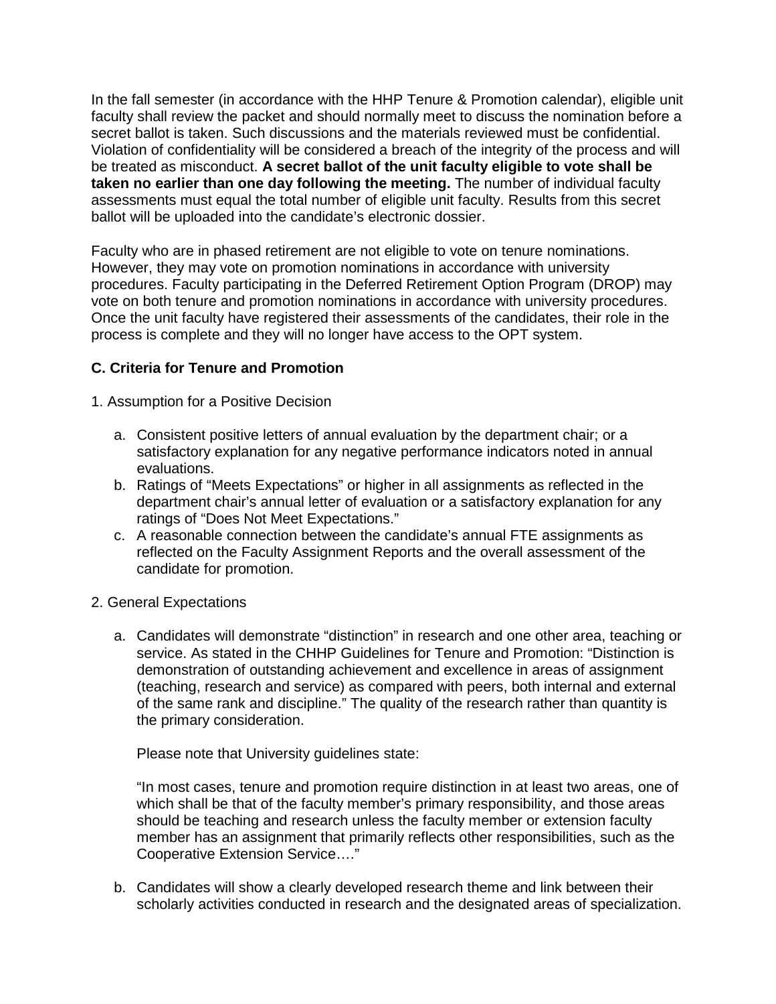In the fall semester (in accordance with the HHP Tenure & Promotion calendar), eligible unit faculty shall review the packet and should normally meet to discuss the nomination before a secret ballot is taken. Such discussions and the materials reviewed must be confidential. Violation of confidentiality will be considered a breach of the integrity of the process and will be treated as misconduct. **A secret ballot of the unit faculty eligible to vote shall be taken no earlier than one day following the meeting.** The number of individual faculty assessments must equal the total number of eligible unit faculty. Results from this secret ballot will be uploaded into the candidate's electronic dossier.

Faculty who are in phased retirement are not eligible to vote on tenure nominations. However, they may vote on promotion nominations in accordance with university procedures. Faculty participating in the Deferred Retirement Option Program (DROP) may vote on both tenure and promotion nominations in accordance with university procedures. Once the unit faculty have registered their assessments of the candidates, their role in the process is complete and they will no longer have access to the OPT system.

# **C. Criteria for Tenure and Promotion**

1. Assumption for a Positive Decision

- a. Consistent positive letters of annual evaluation by the department chair; or a satisfactory explanation for any negative performance indicators noted in annual evaluations.
- b. Ratings of "Meets Expectations" or higher in all assignments as reflected in the department chair's annual letter of evaluation or a satisfactory explanation for any ratings of "Does Not Meet Expectations."
- c. A reasonable connection between the candidate's annual FTE assignments as reflected on the Faculty Assignment Reports and the overall assessment of the candidate for promotion.
- 2. General Expectations
	- a. Candidates will demonstrate "distinction" in research and one other area, teaching or service. As stated in the CHHP Guidelines for Tenure and Promotion: "Distinction is demonstration of outstanding achievement and excellence in areas of assignment (teaching, research and service) as compared with peers, both internal and external of the same rank and discipline." The quality of the research rather than quantity is the primary consideration.

Please note that University guidelines state:

"In most cases, tenure and promotion require distinction in at least two areas, one of which shall be that of the faculty member's primary responsibility, and those areas should be teaching and research unless the faculty member or extension faculty member has an assignment that primarily reflects other responsibilities, such as the Cooperative Extension Service…."

b. Candidates will show a clearly developed research theme and link between their scholarly activities conducted in research and the designated areas of specialization.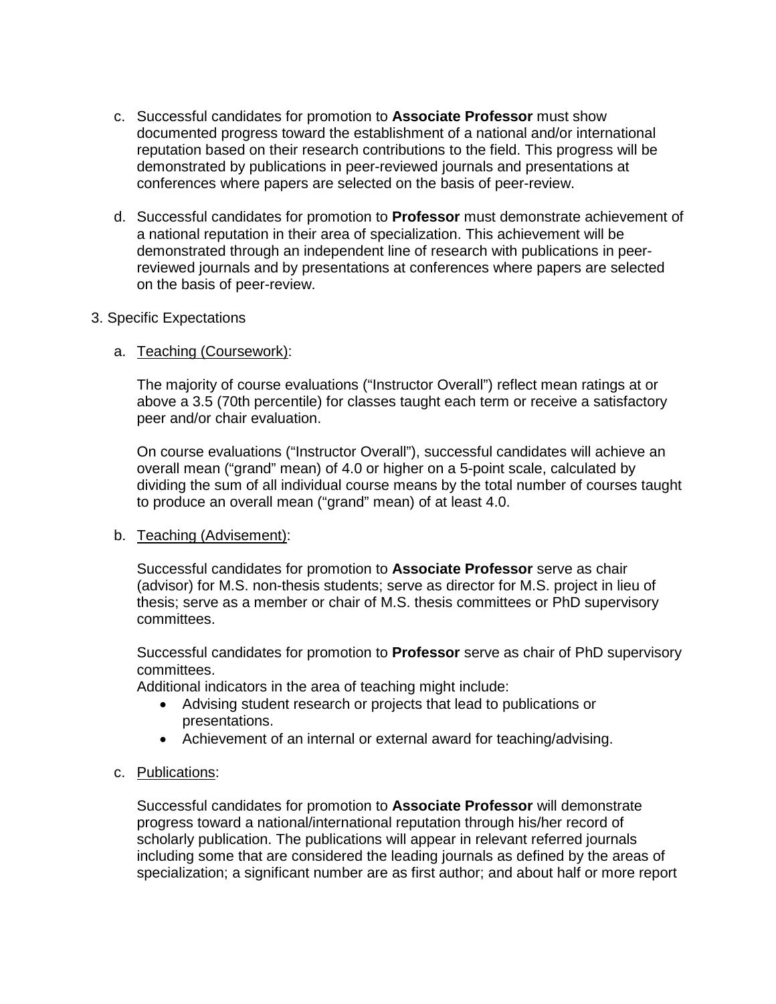- c. Successful candidates for promotion to **Associate Professor** must show documented progress toward the establishment of a national and/or international reputation based on their research contributions to the field. This progress will be demonstrated by publications in peer-reviewed journals and presentations at conferences where papers are selected on the basis of peer-review.
- d. Successful candidates for promotion to **Professor** must demonstrate achievement of a national reputation in their area of specialization. This achievement will be demonstrated through an independent line of research with publications in peerreviewed journals and by presentations at conferences where papers are selected on the basis of peer-review.

### 3. Specific Expectations

# a. Teaching (Coursework):

The majority of course evaluations ("Instructor Overall") reflect mean ratings at or above a 3.5 (70th percentile) for classes taught each term or receive a satisfactory peer and/or chair evaluation.

On course evaluations ("Instructor Overall"), successful candidates will achieve an overall mean ("grand" mean) of 4.0 or higher on a 5-point scale, calculated by dividing the sum of all individual course means by the total number of courses taught to produce an overall mean ("grand" mean) of at least 4.0.

### b. Teaching (Advisement):

Successful candidates for promotion to **Associate Professor** serve as chair (advisor) for M.S. non-thesis students; serve as director for M.S. project in lieu of thesis; serve as a member or chair of M.S. thesis committees or PhD supervisory committees.

Successful candidates for promotion to **Professor** serve as chair of PhD supervisory committees.

Additional indicators in the area of teaching might include:

- Advising student research or projects that lead to publications or presentations.
- Achievement of an internal or external award for teaching/advising.

### c. Publications:

Successful candidates for promotion to **Associate Professor** will demonstrate progress toward a national/international reputation through his/her record of scholarly publication. The publications will appear in relevant referred journals including some that are considered the leading journals as defined by the areas of specialization; a significant number are as first author; and about half or more report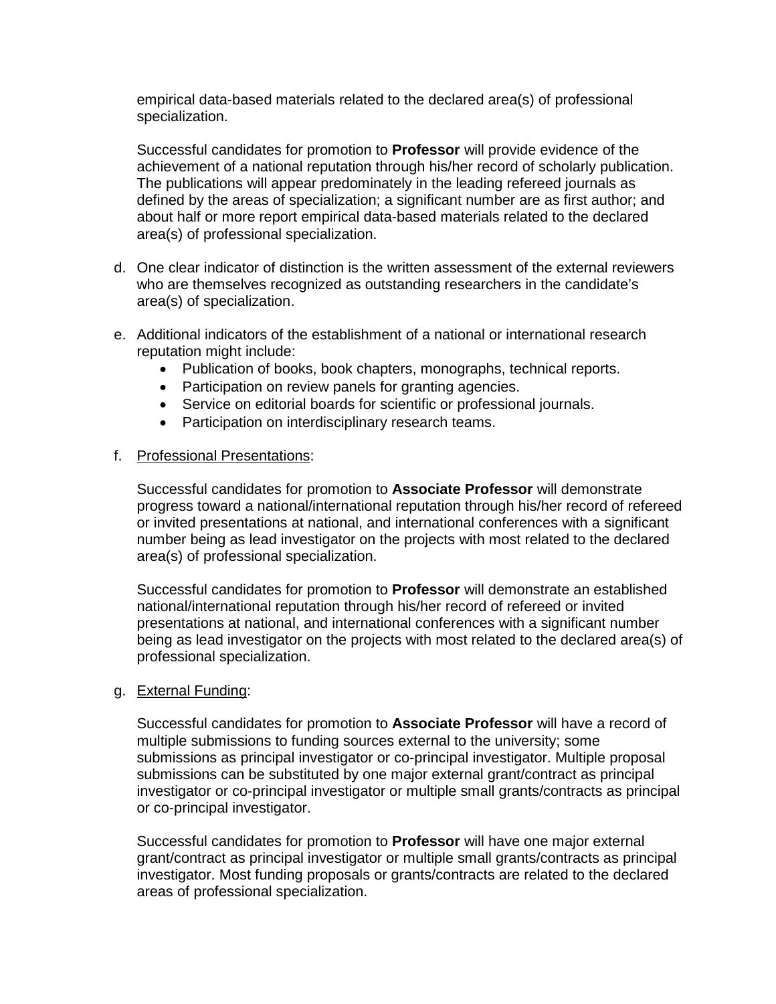empirical data-based materials related to the declared area(s) of professional specialization.

Successful candidates for promotion to **Professor** will provide evidence of the achievement of a national reputation through his/her record of scholarly publication. The publications will appear predominately in the leading refereed journals as defined by the areas of specialization; a significant number are as first author; and about half or more report empirical data-based materials related to the declared area(s) of professional specialization.

- d. One clear indicator of distinction is the written assessment of the external reviewers who are themselves recognized as outstanding researchers in the candidate's area(s) of specialization.
- e. Additional indicators of the establishment of a national or international research reputation might include:
	- Publication of books, book chapters, monographs, technical reports.
	- Participation on review panels for granting agencies.
	- Service on editorial boards for scientific or professional journals.
	- Participation on interdisciplinary research teams.

### f. Professional Presentations:

Successful candidates for promotion to **Associate Professor** will demonstrate progress toward a national/international reputation through his/her record of refereed or invited presentations at national, and international conferences with a significant number being as lead investigator on the projects with most related to the declared area(s) of professional specialization.

Successful candidates for promotion to **Professor** will demonstrate an established national/international reputation through his/her record of refereed or invited presentations at national, and international conferences with a significant number being as lead investigator on the projects with most related to the declared area(s) of professional specialization.

#### g. External Funding:

Successful candidates for promotion to **Associate Professor** will have a record of multiple submissions to funding sources external to the university; some submissions as principal investigator or co-principal investigator. Multiple proposal submissions can be substituted by one major external grant/contract as principal investigator or co-principal investigator or multiple small grants/contracts as principal or co-principal investigator.

Successful candidates for promotion to **Professor** will have one major external grant/contract as principal investigator or multiple small grants/contracts as principal investigator. Most funding proposals or grants/contracts are related to the declared areas of professional specialization.